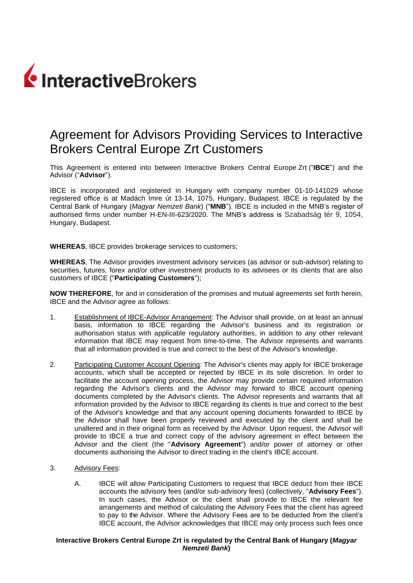

# Agreement for Advisors Providing Services to Interactive Brokers Central Europe Zrt Customers

This Agreement is entered into between Interactive Brokers Central Europe Zrt ("**IBCE**") and the Advisor ("**Advisor**").

IBCE is incorporated and registered in Hungary with company number 01-10-141029 whose registered office is at Madách Imre út 13-14, 1075, Hungary, Budapest. IBCE is regulated by the Central Bank of Hungary (*Magyar Nemzeti Bank*) ("**MNB**"). IBCE is included in the MNB's register of authorised firms under number H-EN-III-623/2020. The MNB's address is Szabadság tér 9, 1054, Hungary, Budapest.

**WHEREAS**, IBCE provides brokerage services to customers;

**WHEREAS**, The Advisor provides investment advisory services (as advisor or sub-advisor) relating to securities, futures, forex and/or other investment products to its advisees or its clients that are also customers of IBCE ("**Participating Customers**");

**NOW THEREFORE**, for and in consideration of the promises and mutual agreements set forth herein, IBCE and the Advisor agree as follows:

- 1. Establishment of IBCE-Advisor Arrangement: The Advisor shall provide, on at least an annual basis, information to IBCE regarding the Advisor's business and its registration or authorisation status with applicable regulatory authorities, in addition to any other relevant information that IBCE may request from time-to-time. The Advisor represents and warrants that all information provided is true and correct to the best of the Advisor's knowledge.
- 2. Participating Customer Account Opening: The Advisor's clients may apply for IBCE brokerage accounts, which shall be accepted or rejected by IBCE in its sole discretion. In order to facilitate the account opening process, the Advisor may provide certain required information regarding the Advisor's clients and the Advisor may forward to IBCE account opening documents completed by the Advisor's clients. The Advisor represents and warrants that all information provided by the Advisor to IBCE regarding its clients is true and correct to the best of the Advisor's knowledge and that any account opening documents forwarded to IBCE by the Advisor shall have been properly reviewed and executed by the client and shall be unaltered and in their original form as received by the Advisor. Upon request, the Advisor will provide to IBCE a true and correct copy of the advisory agreement in effect between the Advisor and the client (the "**Advisory Agreement**") and/or power of attorney or other documents authorising the Advisor to direct trading in the client's IBCE account.
- 3. Advisory Fees:
	- A. IBCE will allow Participating Customers to request that IBCE deduct from their IBCE accounts the advisory fees (and/or sub-advisory fees) (collectively, "**Advisory Fees**"). In such cases, the Advisor or the client shall provide to IBCE the relevant fee arrangements and method of calculating the Advisory Fees that the client has agreed to pay to the Advisor. Where the Advisory Fees are to be deducted from the client's IBCE account, the Advisor acknowledges that IBCE may only process such fees once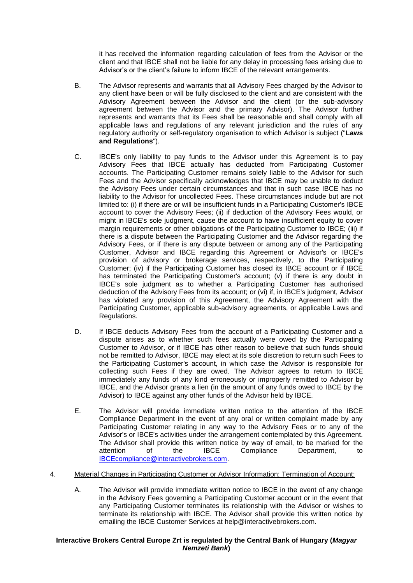it has received the information regarding calculation of fees from the Advisor or the client and that IBCE shall not be liable for any delay in processing fees arising due to Advisor's or the client's failure to inform IBCE of the relevant arrangements.

- B. The Advisor represents and warrants that all Advisory Fees charged by the Advisor to any client have been or will be fully disclosed to the client and are consistent with the Advisory Agreement between the Advisor and the client (or the sub-advisory agreement between the Advisor and the primary Advisor). The Advisor further represents and warrants that its Fees shall be reasonable and shall comply with all applicable laws and regulations of any relevant jurisdiction and the rules of any regulatory authority or self-regulatory organisation to which Advisor is subject ("**Laws and Regulations**").
- C. IBCE's only liability to pay funds to the Advisor under this Agreement is to pay Advisory Fees that IBCE actually has deducted from Participating Customer accounts. The Participating Customer remains solely liable to the Advisor for such Fees and the Advisor specifically acknowledges that IBCE may be unable to deduct the Advisory Fees under certain circumstances and that in such case IBCE has no liability to the Advisor for uncollected Fees. These circumstances include but are not limited to: (i) if there are or will be insufficient funds in a Participating Customer's IBCE account to cover the Advisory Fees; (ii) if deduction of the Advisory Fees would, or might in IBCE's sole judgment, cause the account to have insufficient equity to cover margin requirements or other obligations of the Participating Customer to IBCE; (iii) if there is a dispute between the Participating Customer and the Advisor regarding the Advisory Fees, or if there is any dispute between or among any of the Participating Customer, Advisor and IBCE regarding this Agreement or Advisor's or IBCE's provision of advisory or brokerage services, respectively, to the Participating Customer; (iv) if the Participating Customer has closed its IBCE account or if IBCE has terminated the Participating Customer's account; (v) if there is any doubt in IBCE's sole judgment as to whether a Participating Customer has authorised deduction of the Advisory Fees from its account; or (vi) if, in IBCE's judgment, Advisor has violated any provision of this Agreement, the Advisory Agreement with the Participating Customer, applicable sub-advisory agreements, or applicable Laws and Regulations.
- D. If IBCE deducts Advisory Fees from the account of a Participating Customer and a dispute arises as to whether such fees actually were owed by the Participating Customer to Advisor, or if IBCE has other reason to believe that such funds should not be remitted to Advisor, IBCE may elect at its sole discretion to return such Fees to the Participating Customer's account, in which case the Advisor is responsible for collecting such Fees if they are owed. The Advisor agrees to return to IBCE immediately any funds of any kind erroneously or improperly remitted to Advisor by IBCE, and the Advisor grants a lien (in the amount of any funds owed to IBCE by the Advisor) to IBCE against any other funds of the Advisor held by IBCE.
- E. The Advisor will provide immediate written notice to the attention of the IBCE Compliance Department in the event of any oral or written complaint made by any Participating Customer relating in any way to the Advisory Fees or to any of the Advisor's or IBCE's activities under the arrangement contemplated by this Agreement. The Advisor shall provide this written notice by way of email, to be marked for the attention of the IBCE Compliance Department, to [IBCEcompliance@interactivebrokers.com.](mailto:IBCEcompliance@interactivebrokers.com)
- 4. Material Changes in Participating Customer or Advisor Information; Termination of Account:
	- A. The Advisor will provide immediate written notice to IBCE in the event of any change in the Advisory Fees governing a Participating Customer account or in the event that any Participating Customer terminates its relationship with the Advisor or wishes to terminate its relationship with IBCE. The Advisor shall provide this written notice by emailing the IBCE Customer Services at help@interactivebrokers.com.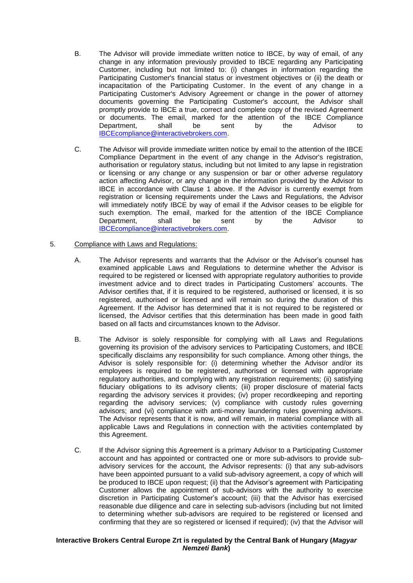- B. The Advisor will provide immediate written notice to IBCE, by way of email, of any change in any information previously provided to IBCE regarding any Participating Customer, including but not limited to: (i) changes in information regarding the Participating Customer's financial status or investment objectives or (ii) the death or incapacitation of the Participating Customer. In the event of any change in a Participating Customer's Advisory Agreement or change in the power of attorney documents governing the Participating Customer's account, the Advisor shall promptly provide to IBCE a true, correct and complete copy of the revised Agreement or documents. The email, marked for the attention of the IBCE Compliance Department, shall be sent by the Advisor to [IBCEcompliance@interactivebrokers.com.](mailto:IBCEcompliance@interactivebrokers.com)
- C. The Advisor will provide immediate written notice by email to the attention of the IBCE Compliance Department in the event of any change in the Advisor's registration, authorisation or regulatory status, including but not limited to any lapse in registration or licensing or any change or any suspension or bar or other adverse regulatory action affecting Advisor, or any change in the information provided by the Advisor to IBCE in accordance with Clause 1 above. If the Advisor is currently exempt from registration or licensing requirements under the Laws and Regulations, the Advisor will immediately notify IBCE by way of email if the Advisor ceases to be eligible for such exemption. The email, marked for the attention of the IBCE Compliance<br>Department shall be sent by the Advisor to Department, shall be sent by the Advisor to [IBCEcompliance@interactivebrokers.com.](mailto:IBCEcompliance@interactivebrokers.com)

#### 5. Compliance with Laws and Regulations:

- A. The Advisor represents and warrants that the Advisor or the Advisor's counsel has examined applicable Laws and Regulations to determine whether the Advisor is required to be registered or licensed with appropriate regulatory authorities to provide investment advice and to direct trades in Participating Customers' accounts. The Advisor certifies that, if it is required to be registered, authorised or licensed, it is so registered, authorised or licensed and will remain so during the duration of this Agreement. If the Advisor has determined that it is not required to be registered or licensed, the Advisor certifies that this determination has been made in good faith based on all facts and circumstances known to the Advisor.
- B. The Advisor is solely responsible for complying with all Laws and Regulations governing its provision of the advisory services to Participating Customers, and IBCE specifically disclaims any responsibility for such compliance. Among other things, the Advisor is solely responsible for: (i) determining whether the Advisor and/or its employees is required to be registered, authorised or licensed with appropriate regulatory authorities, and complying with any registration requirements; (ii) satisfying fiduciary obligations to its advisory clients; (iii) proper disclosure of material facts regarding the advisory services it provides; (iv) proper recordkeeping and reporting regarding the advisory services; (v) compliance with custody rules governing advisors; and (vi) compliance with anti-money laundering rules governing advisors. The Advisor represents that it is now, and will remain, in material compliance with all applicable Laws and Regulations in connection with the activities contemplated by this Agreement.
- C. If the Advisor signing this Agreement is a primary Advisor to a Participating Customer account and has appointed or contracted one or more sub-advisors to provide subadvisory services for the account, the Advisor represents: (i) that any sub-advisors have been appointed pursuant to a valid sub-advisory agreement, a copy of which will be produced to IBCE upon request; (ii) that the Advisor's agreement with Participating Customer allows the appointment of sub-advisors with the authority to exercise discretion in Participating Customer's account; (iii) that the Advisor has exercised reasonable due diligence and care in selecting sub-advisors (including but not limited to determining whether sub-advisors are required to be registered or licensed and confirming that they are so registered or licensed if required); (iv) that the Advisor will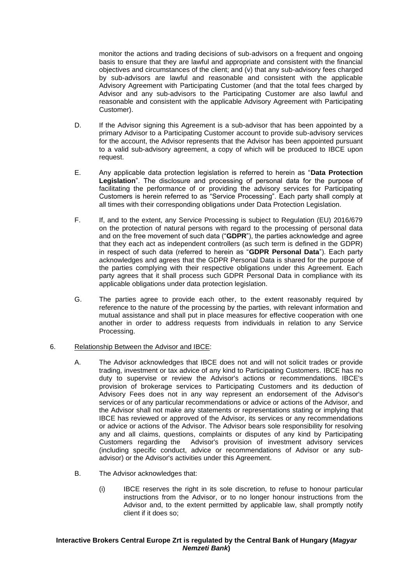monitor the actions and trading decisions of sub-advisors on a frequent and ongoing basis to ensure that they are lawful and appropriate and consistent with the financial objectives and circumstances of the client; and (v) that any sub-advisory fees charged by sub-advisors are lawful and reasonable and consistent with the applicable Advisory Agreement with Participating Customer (and that the total fees charged by Advisor and any sub-advisors to the Participating Customer are also lawful and reasonable and consistent with the applicable Advisory Agreement with Participating Customer).

- D. If the Advisor signing this Agreement is a sub-advisor that has been appointed by a primary Advisor to a Participating Customer account to provide sub-advisory services for the account, the Advisor represents that the Advisor has been appointed pursuant to a valid sub-advisory agreement, a copy of which will be produced to IBCE upon request.
- E. Any applicable data protection legislation is referred to herein as "**Data Protection Legislation**". The disclosure and processing of personal data for the purpose of facilitating the performance of or providing the advisory services for Participating Customers is herein referred to as "Service Processing". Each party shall comply at all times with their corresponding obligations under Data Protection Legislation.
- F. If, and to the extent, any Service Processing is subject to Regulation (EU) 2016/679 on the protection of natural persons with regard to the processing of personal data and on the free movement of such data ("**GDPR**"), the parties acknowledge and agree that they each act as independent controllers (as such term is defined in the GDPR) in respect of such data (referred to herein as "**GDPR Personal Data**"). Each party acknowledges and agrees that the GDPR Personal Data is shared for the purpose of the parties complying with their respective obligations under this Agreement. Each party agrees that it shall process such GDPR Personal Data in compliance with its applicable obligations under data protection legislation.
- G. The parties agree to provide each other, to the extent reasonably required by reference to the nature of the processing by the parties, with relevant information and mutual assistance and shall put in place measures for effective cooperation with one another in order to address requests from individuals in relation to any Service Processing.

#### 6. Relationship Between the Advisor and IBCE:

- A. The Advisor acknowledges that IBCE does not and will not solicit trades or provide trading, investment or tax advice of any kind to Participating Customers. IBCE has no duty to supervise or review the Advisor's actions or recommendations. IBCE's provision of brokerage services to Participating Customers and its deduction of Advisory Fees does not in any way represent an endorsement of the Advisor's services or of any particular recommendations or advice or actions of the Advisor, and the Advisor shall not make any statements or representations stating or implying that IBCE has reviewed or approved of the Advisor, its services or any recommendations or advice or actions of the Advisor. The Advisor bears sole responsibility for resolving any and all claims, questions, complaints or disputes of any kind by Participating Customers regarding the Advisor's provision of investment advisory services (including specific conduct, advice or recommendations of Advisor or any subadvisor) or the Advisor's activities under this Agreement.
- B. The Advisor acknowledges that:
	- (i) IBCE reserves the right in its sole discretion, to refuse to honour particular instructions from the Advisor, or to no longer honour instructions from the Advisor and, to the extent permitted by applicable law, shall promptly notify client if it does so;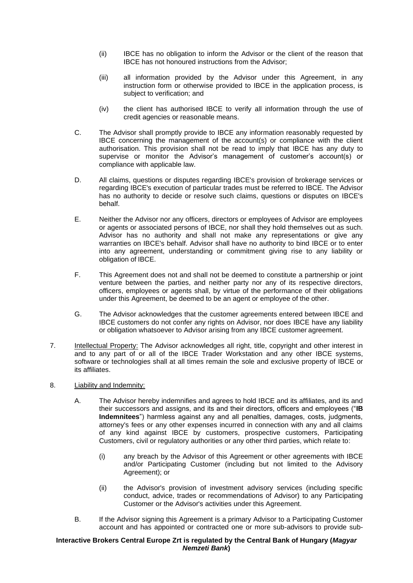- (ii) IBCE has no obligation to inform the Advisor or the client of the reason that IBCE has not honoured instructions from the Advisor;
- (iii) all information provided by the Advisor under this Agreement, in any instruction form or otherwise provided to IBCE in the application process, is subject to verification; and
- (iv) the client has authorised IBCE to verify all information through the use of credit agencies or reasonable means.
- C. The Advisor shall promptly provide to IBCE any information reasonably requested by IBCE concerning the management of the account(s) or compliance with the client authorisation. This provision shall not be read to imply that IBCE has any duty to supervise or monitor the Advisor's management of customer's account(s) or compliance with applicable law.
- D. All claims, questions or disputes regarding IBCE's provision of brokerage services or regarding IBCE's execution of particular trades must be referred to IBCE. The Advisor has no authority to decide or resolve such claims, questions or disputes on IBCE's behalf.
- E. Neither the Advisor nor any officers, directors or employees of Advisor are employees or agents or associated persons of IBCE, nor shall they hold themselves out as such. Advisor has no authority and shall not make any representations or give any warranties on IBCE's behalf. Advisor shall have no authority to bind IBCE or to enter into any agreement, understanding or commitment giving rise to any liability or obligation of IBCE.
- F. This Agreement does not and shall not be deemed to constitute a partnership or joint venture between the parties, and neither party nor any of its respective directors, officers, employees or agents shall, by virtue of the performance of their obligations under this Agreement, be deemed to be an agent or employee of the other.
- G. The Advisor acknowledges that the customer agreements entered between IBCE and IBCE customers do not confer any rights on Advisor, nor does IBCE have any liability or obligation whatsoever to Advisor arising from any IBCE customer agreement.
- 7. Intellectual Property: The Advisor acknowledges all right, title, copyright and other interest in and to any part of or all of the IBCE Trader Workstation and any other IBCE systems, software or technologies shall at all times remain the sole and exclusive property of IBCE or its affiliates.
- 8. Liability and Indemnity:
	- A. The Advisor hereby indemnifies and agrees to hold IBCE and its affiliates, and its and their successors and assigns, and its and their directors, officers and employees ("**IB Indemnitees**") harmless against any and all penalties, damages, costs, judgments, attorney's fees or any other expenses incurred in connection with any and all claims of any kind against IBCE by customers, prospective customers, Participating Customers, civil or regulatory authorities or any other third parties, which relate to:
		- (i) any breach by the Advisor of this Agreement or other agreements with IBCE and/or Participating Customer (including but not limited to the Advisory Agreement); or
		- (ii) the Advisor's provision of investment advisory services (including specific conduct, advice, trades or recommendations of Advisor) to any Participating Customer or the Advisor's activities under this Agreement.
	- B. If the Advisor signing this Agreement is a primary Advisor to a Participating Customer account and has appointed or contracted one or more sub-advisors to provide sub-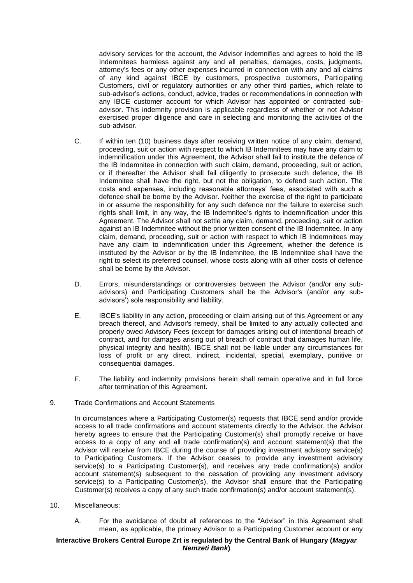advisory services for the account, the Advisor indemnifies and agrees to hold the IB Indemnitees harmless against any and all penalties, damages, costs, judgments, attorney's fees or any other expenses incurred in connection with any and all claims of any kind against IBCE by customers, prospective customers, Participating Customers, civil or regulatory authorities or any other third parties, which relate to sub-advisor's actions, conduct, advice, trades or recommendations in connection with any IBCE customer account for which Advisor has appointed or contracted subadvisor. This indemnity provision is applicable regardless of whether or not Advisor exercised proper diligence and care in selecting and monitoring the activities of the sub-advisor.

- C. If within ten (10) business days after receiving written notice of any claim, demand, proceeding, suit or action with respect to which IB Indemnitees may have any claim to indemnification under this Agreement, the Advisor shall fail to institute the defence of the IB Indemnitee in connection with such claim, demand, proceeding, suit or action, or if thereafter the Advisor shall fail diligently to prosecute such defence, the IB Indemnitee shall have the right, but not the obligation, to defend such action. The costs and expenses, including reasonable attorneys' fees, associated with such a defence shall be borne by the Advisor. Neither the exercise of the right to participate in or assume the responsibility for any such defence nor the failure to exercise such rights shall limit, in any way, the IB Indemnitee's rights to indemnification under this Agreement. The Advisor shall not settle any claim, demand, proceeding, suit or action against an IB Indemnitee without the prior written consent of the IB Indemnitee. In any claim, demand, proceeding, suit or action with respect to which IB Indemnitees may have any claim to indemnification under this Agreement, whether the defence is instituted by the Advisor or by the IB Indemnitee, the IB Indemnitee shall have the right to select its preferred counsel, whose costs along with all other costs of defence shall be borne by the Advisor.
- D. Errors, misunderstandings or controversies between the Advisor (and/or any subadvisors) and Participating Customers shall be the Advisor's (and/or any subadvisors') sole responsibility and liability.
- E. IBCE's liability in any action, proceeding or claim arising out of this Agreement or any breach thereof, and Advisor's remedy, shall be limited to any actually collected and properly owed Advisory Fees (except for damages arising out of intentional breach of contract, and for damages arising out of breach of contract that damages human life, physical integrity and health). IBCE shall not be liable under any circumstances for loss of profit or any direct, indirect, incidental, special, exemplary, punitive or consequential damages.
- F. The liability and indemnity provisions herein shall remain operative and in full force after termination of this Agreement.

# 9. Trade Confirmations and Account Statements

In circumstances where a Participating Customer(s) requests that IBCE send and/or provide access to all trade confirmations and account statements directly to the Advisor, the Advisor hereby agrees to ensure that the Participating Customer(s) shall promptly receive or have access to a copy of any and all trade confirmation(s) and account statement(s) that the Advisor will receive from IBCE during the course of providing investment advisory service(s) to Participating Customers. If the Advisor ceases to provide any investment advisory service(s) to a Participating Customer(s), and receives any trade confirmation(s) and/or account statement(s) subsequent to the cessation of providing any investment advisory service(s) to a Participating Customer(s), the Advisor shall ensure that the Participating Customer(s) receives a copy of any such trade confirmation(s) and/or account statement(s).

- 10. Miscellaneous:
	- A. For the avoidance of doubt all references to the "Advisor" in this Agreement shall mean, as applicable, the primary Advisor to a Participating Customer account or any